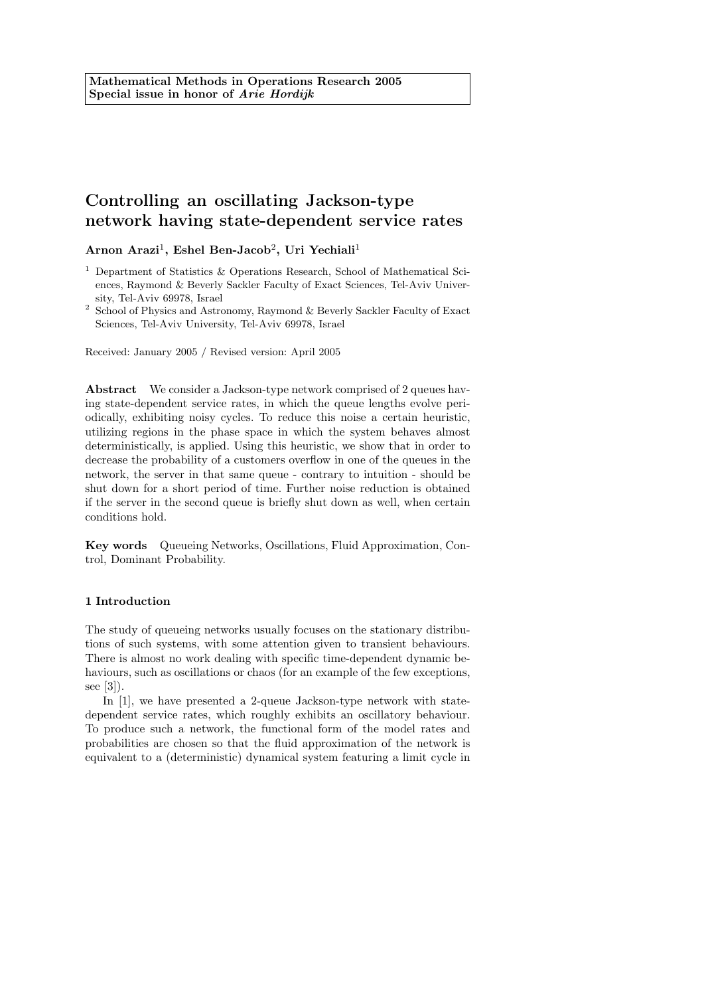# Controlling an oscillating Jackson-type network having state-dependent service rates

Arnon Arazi<sup>1</sup>, Eshel Ben-Jacob<sup>2</sup>, Uri Yechiali<sup>1</sup>

- <sup>1</sup> Department of Statistics & Operations Research, School of Mathematical Sciences, Raymond & Beverly Sackler Faculty of Exact Sciences, Tel-Aviv University, Tel-Aviv 69978, Israel
- <sup>2</sup> School of Physics and Astronomy, Raymond & Beverly Sackler Faculty of Exact Sciences, Tel-Aviv University, Tel-Aviv 69978, Israel

Received: January 2005 / Revised version: April 2005

Abstract We consider a Jackson-type network comprised of 2 queues having state-dependent service rates, in which the queue lengths evolve periodically, exhibiting noisy cycles. To reduce this noise a certain heuristic, utilizing regions in the phase space in which the system behaves almost deterministically, is applied. Using this heuristic, we show that in order to decrease the probability of a customers overflow in one of the queues in the network, the server in that same queue - contrary to intuition - should be shut down for a short period of time. Further noise reduction is obtained if the server in the second queue is briefly shut down as well, when certain conditions hold.

Key words Queueing Networks, Oscillations, Fluid Approximation, Control, Dominant Probability.

## 1 Introduction

The study of queueing networks usually focuses on the stationary distributions of such systems, with some attention given to transient behaviours. There is almost no work dealing with specific time-dependent dynamic behaviours, such as oscillations or chaos (for an example of the few exceptions, see [3]).

In [1], we have presented a 2-queue Jackson-type network with statedependent service rates, which roughly exhibits an oscillatory behaviour. To produce such a network, the functional form of the model rates and probabilities are chosen so that the fluid approximation of the network is equivalent to a (deterministic) dynamical system featuring a limit cycle in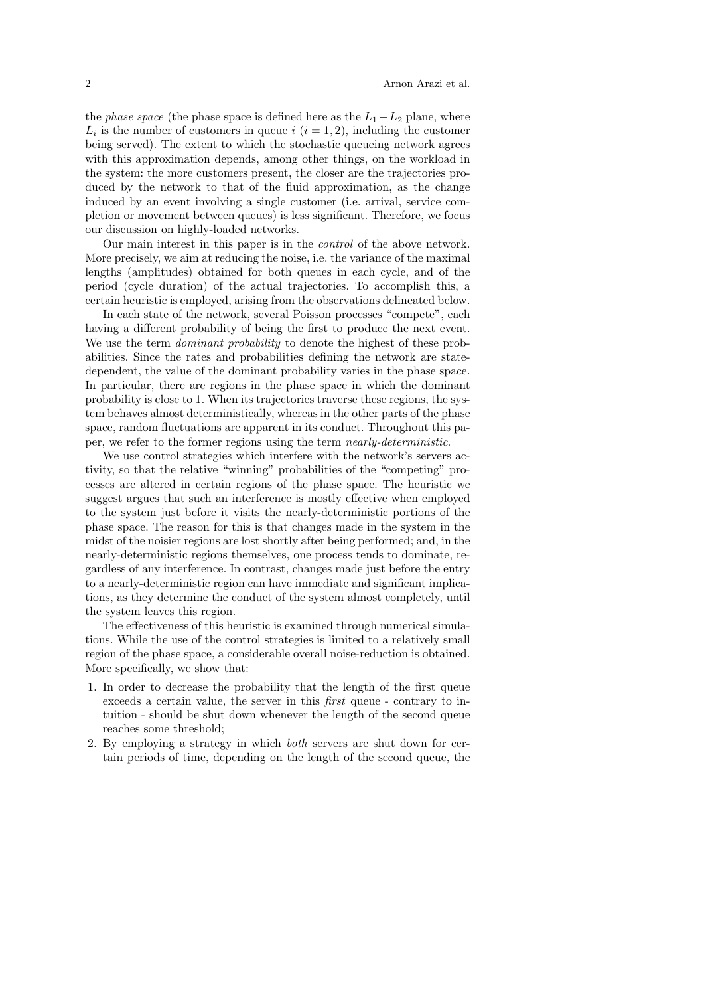the *phase space* (the phase space is defined here as the  $L_1 - L_2$  plane, where  $L_i$  is the number of customers in queue  $i$   $(i = 1, 2)$ , including the customer being served). The extent to which the stochastic queueing network agrees with this approximation depends, among other things, on the workload in the system: the more customers present, the closer are the trajectories produced by the network to that of the fluid approximation, as the change induced by an event involving a single customer (i.e. arrival, service completion or movement between queues) is less significant. Therefore, we focus our discussion on highly-loaded networks.

Our main interest in this paper is in the control of the above network. More precisely, we aim at reducing the noise, i.e. the variance of the maximal lengths (amplitudes) obtained for both queues in each cycle, and of the period (cycle duration) of the actual trajectories. To accomplish this, a certain heuristic is employed, arising from the observations delineated below.

In each state of the network, several Poisson processes "compete", each having a different probability of being the first to produce the next event. We use the term *dominant probability* to denote the highest of these probabilities. Since the rates and probabilities defining the network are statedependent, the value of the dominant probability varies in the phase space. In particular, there are regions in the phase space in which the dominant probability is close to 1. When its trajectories traverse these regions, the system behaves almost deterministically, whereas in the other parts of the phase space, random fluctuations are apparent in its conduct. Throughout this paper, we refer to the former regions using the term nearly-deterministic.

We use control strategies which interfere with the network's servers activity, so that the relative "winning" probabilities of the "competing" processes are altered in certain regions of the phase space. The heuristic we suggest argues that such an interference is mostly effective when employed to the system just before it visits the nearly-deterministic portions of the phase space. The reason for this is that changes made in the system in the midst of the noisier regions are lost shortly after being performed; and, in the nearly-deterministic regions themselves, one process tends to dominate, regardless of any interference. In contrast, changes made just before the entry to a nearly-deterministic region can have immediate and significant implications, as they determine the conduct of the system almost completely, until the system leaves this region.

The effectiveness of this heuristic is examined through numerical simulations. While the use of the control strategies is limited to a relatively small region of the phase space, a considerable overall noise-reduction is obtained. More specifically, we show that:

- 1. In order to decrease the probability that the length of the first queue exceeds a certain value, the server in this first queue - contrary to intuition - should be shut down whenever the length of the second queue reaches some threshold;
- 2. By employing a strategy in which both servers are shut down for certain periods of time, depending on the length of the second queue, the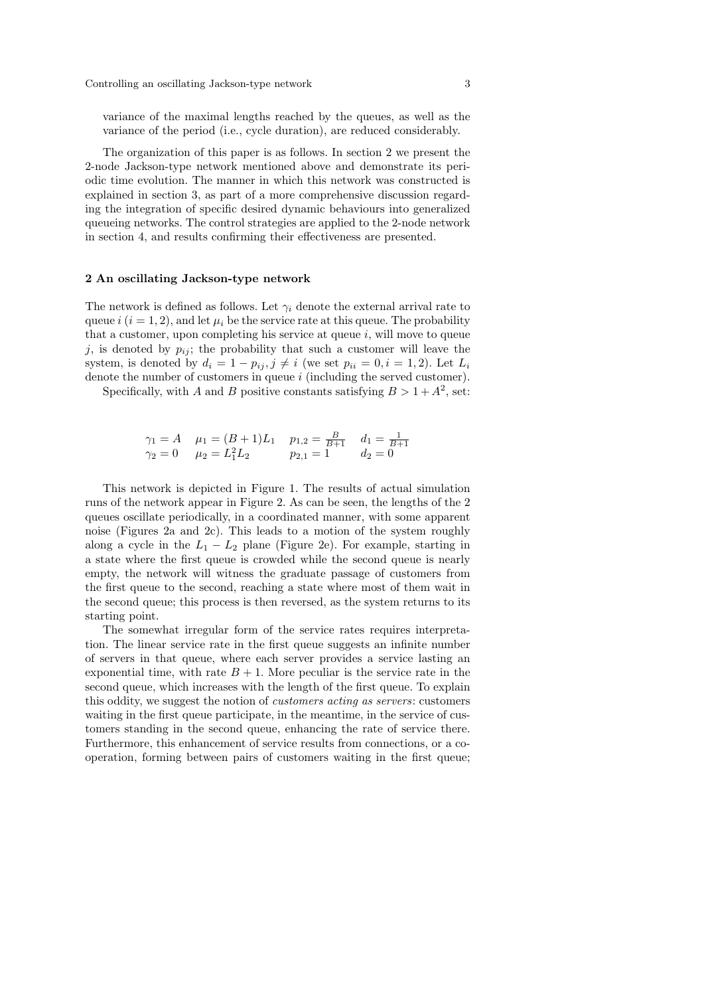variance of the maximal lengths reached by the queues, as well as the variance of the period (i.e., cycle duration), are reduced considerably.

The organization of this paper is as follows. In section 2 we present the 2-node Jackson-type network mentioned above and demonstrate its periodic time evolution. The manner in which this network was constructed is explained in section 3, as part of a more comprehensive discussion regarding the integration of specific desired dynamic behaviours into generalized queueing networks. The control strategies are applied to the 2-node network in section 4, and results confirming their effectiveness are presented.

#### 2 An oscillating Jackson-type network

The network is defined as follows. Let  $\gamma_i$  denote the external arrival rate to queue  $i$  ( $i = 1, 2$ ), and let  $\mu_i$  be the service rate at this queue. The probability that a customer, upon completing his service at queue  $i$ , will move to queue j, is denoted by  $p_{ij}$ ; the probability that such a customer will leave the system, is denoted by  $d_i = 1 - p_{ij}, j \neq i$  (we set  $p_{ii} = 0, i = 1, 2$ ). Let  $L_i$ denote the number of customers in queue  $i$  (including the served customer).

Specifically, with A and B positive constants satisfying  $B > 1 + A^2$ , set:

$$
\begin{array}{llll}\n\gamma_1 = A & \mu_1 = (B+1)L_1 & p_{1,2} = \frac{B}{B+1} & d_1 = \frac{1}{B+1} \\
\gamma_2 = 0 & \mu_2 = L_1^2 L_2 & p_{2,1} = 1 & d_2 = 0\n\end{array}
$$

This network is depicted in Figure 1. The results of actual simulation runs of the network appear in Figure 2. As can be seen, the lengths of the 2 queues oscillate periodically, in a coordinated manner, with some apparent noise (Figures 2a and 2c). This leads to a motion of the system roughly along a cycle in the  $L_1 - L_2$  plane (Figure 2e). For example, starting in a state where the first queue is crowded while the second queue is nearly empty, the network will witness the graduate passage of customers from the first queue to the second, reaching a state where most of them wait in the second queue; this process is then reversed, as the system returns to its starting point.

The somewhat irregular form of the service rates requires interpretation. The linear service rate in the first queue suggests an infinite number of servers in that queue, where each server provides a service lasting an exponential time, with rate  $B + 1$ . More peculiar is the service rate in the second queue, which increases with the length of the first queue. To explain this oddity, we suggest the notion of customers acting as servers: customers waiting in the first queue participate, in the meantime, in the service of customers standing in the second queue, enhancing the rate of service there. Furthermore, this enhancement of service results from connections, or a cooperation, forming between pairs of customers waiting in the first queue;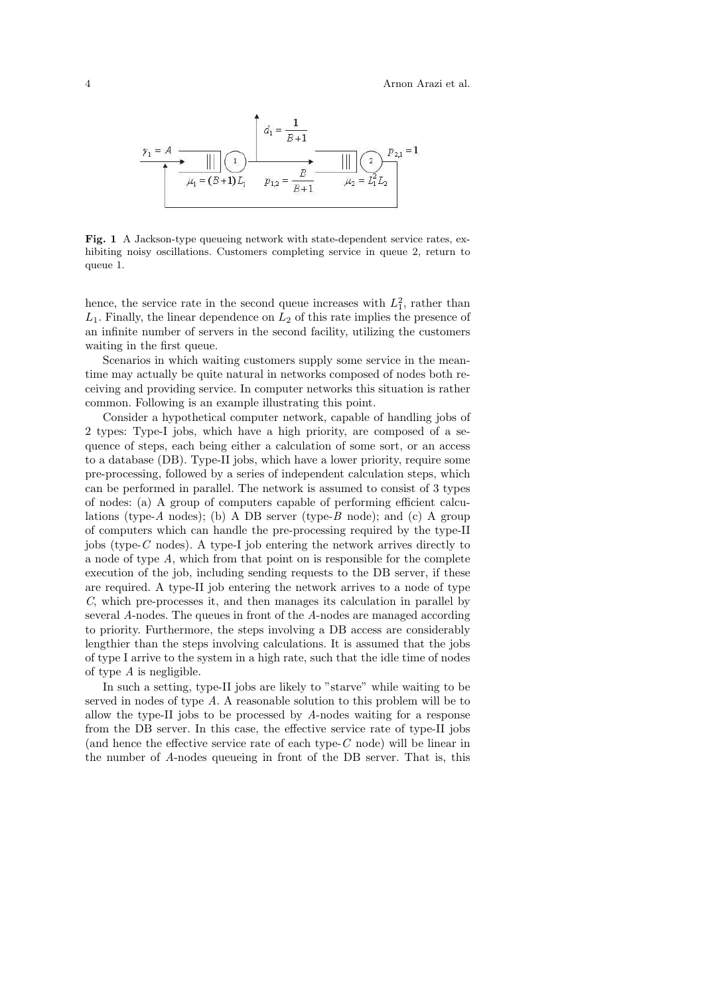4 Arnon Arazi et al.



Fig. 1 A Jackson-type queueing network with state-dependent service rates, exhibiting noisy oscillations. Customers completing service in queue 2, return to queue 1.

hence, the service rate in the second queue increases with  $L_1^2$ , rather than  $L_1$ . Finally, the linear dependence on  $L_2$  of this rate implies the presence of an infinite number of servers in the second facility, utilizing the customers waiting in the first queue.

Scenarios in which waiting customers supply some service in the meantime may actually be quite natural in networks composed of nodes both receiving and providing service. In computer networks this situation is rather common. Following is an example illustrating this point.

Consider a hypothetical computer network, capable of handling jobs of 2 types: Type-I jobs, which have a high priority, are composed of a sequence of steps, each being either a calculation of some sort, or an access to a database (DB). Type-II jobs, which have a lower priority, require some pre-processing, followed by a series of independent calculation steps, which can be performed in parallel. The network is assumed to consist of 3 types of nodes: (a) A group of computers capable of performing efficient calculations (type-A nodes); (b) A DB server (type-B node); and (c) A group of computers which can handle the pre-processing required by the type-II jobs (type- $C$  nodes). A type-I job entering the network arrives directly to a node of type A, which from that point on is responsible for the complete execution of the job, including sending requests to the DB server, if these are required. A type-II job entering the network arrives to a node of type C, which pre-processes it, and then manages its calculation in parallel by several A-nodes. The queues in front of the A-nodes are managed according to priority. Furthermore, the steps involving a DB access are considerably lengthier than the steps involving calculations. It is assumed that the jobs of type I arrive to the system in a high rate, such that the idle time of nodes of type  $A$  is negligible.

In such a setting, type-II jobs are likely to "starve" while waiting to be served in nodes of type A. A reasonable solution to this problem will be to allow the type-II jobs to be processed by A-nodes waiting for a response from the DB server. In this case, the effective service rate of type-II jobs (and hence the effective service rate of each type- $C$  node) will be linear in the number of A-nodes queueing in front of the DB server. That is, this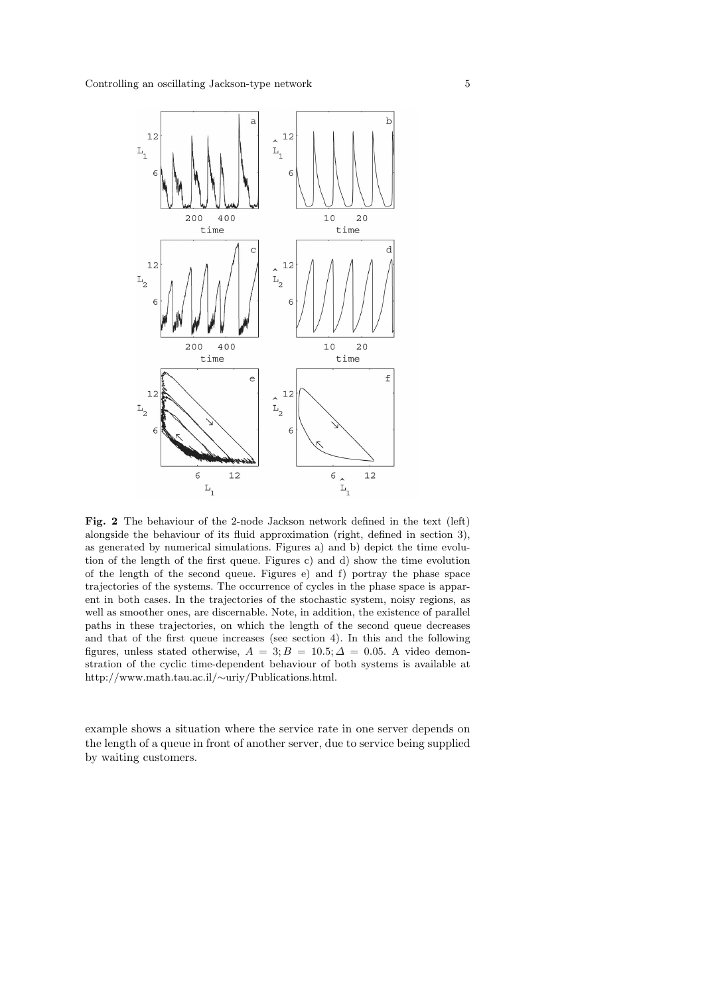

Fig. 2 The behaviour of the 2-node Jackson network defined in the text (left) alongside the behaviour of its fluid approximation (right, defined in section 3), as generated by numerical simulations. Figures a) and b) depict the time evolution of the length of the first queue. Figures c) and d) show the time evolution of the length of the second queue. Figures e) and f) portray the phase space trajectories of the systems. The occurrence of cycles in the phase space is apparent in both cases. In the trajectories of the stochastic system, noisy regions, as well as smoother ones, are discernable. Note, in addition, the existence of parallel paths in these trajectories, on which the length of the second queue decreases and that of the first queue increases (see section 4). In this and the following figures, unless stated otherwise,  $A = 3$ ;  $B = 10.5$ ;  $\Delta = 0.05$ . A video demonstration of the cyclic time-dependent behaviour of both systems is available at http://www.math.tau.ac.il/∼uriy/Publications.html.

example shows a situation where the service rate in one server depends on the length of a queue in front of another server, due to service being supplied by waiting customers.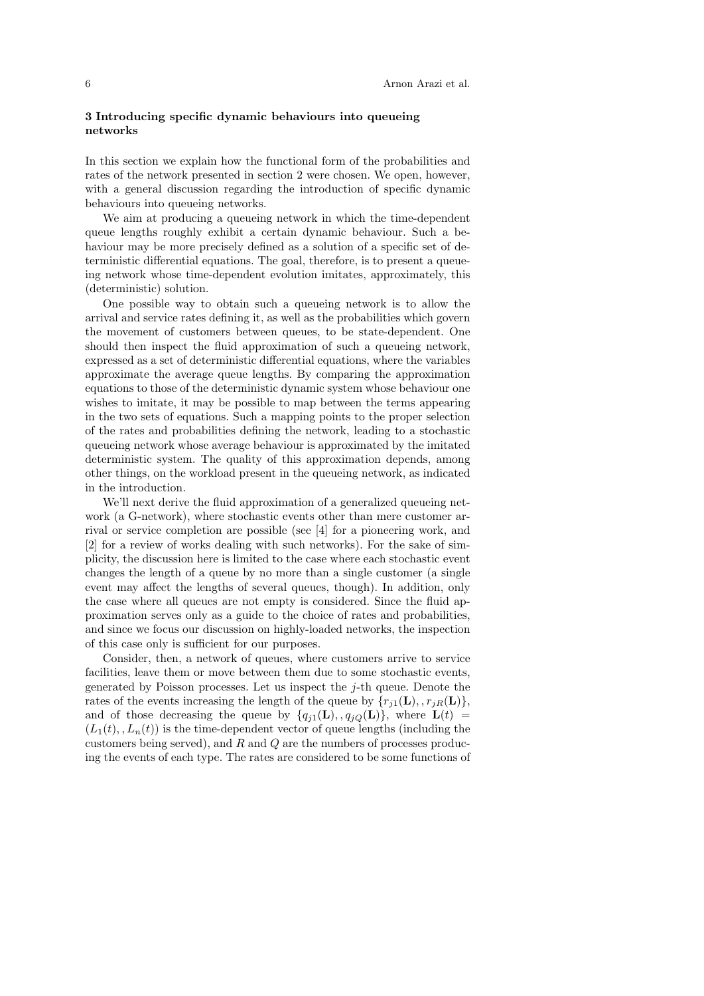## 3 Introducing specific dynamic behaviours into queueing networks

In this section we explain how the functional form of the probabilities and rates of the network presented in section 2 were chosen. We open, however, with a general discussion regarding the introduction of specific dynamic behaviours into queueing networks.

We aim at producing a queueing network in which the time-dependent queue lengths roughly exhibit a certain dynamic behaviour. Such a behaviour may be more precisely defined as a solution of a specific set of deterministic differential equations. The goal, therefore, is to present a queueing network whose time-dependent evolution imitates, approximately, this (deterministic) solution.

One possible way to obtain such a queueing network is to allow the arrival and service rates defining it, as well as the probabilities which govern the movement of customers between queues, to be state-dependent. One should then inspect the fluid approximation of such a queueing network, expressed as a set of deterministic differential equations, where the variables approximate the average queue lengths. By comparing the approximation equations to those of the deterministic dynamic system whose behaviour one wishes to imitate, it may be possible to map between the terms appearing in the two sets of equations. Such a mapping points to the proper selection of the rates and probabilities defining the network, leading to a stochastic queueing network whose average behaviour is approximated by the imitated deterministic system. The quality of this approximation depends, among other things, on the workload present in the queueing network, as indicated in the introduction.

We'll next derive the fluid approximation of a generalized queueing network (a G-network), where stochastic events other than mere customer arrival or service completion are possible (see [4] for a pioneering work, and [2] for a review of works dealing with such networks). For the sake of simplicity, the discussion here is limited to the case where each stochastic event changes the length of a queue by no more than a single customer (a single event may affect the lengths of several queues, though). In addition, only the case where all queues are not empty is considered. Since the fluid approximation serves only as a guide to the choice of rates and probabilities, and since we focus our discussion on highly-loaded networks, the inspection of this case only is sufficient for our purposes.

Consider, then, a network of queues, where customers arrive to service facilities, leave them or move between them due to some stochastic events, generated by Poisson processes. Let us inspect the  $j$ -th queue. Denote the rates of the events increasing the length of the queue by  $\{r_{j1}(\mathbf{L}), r_{jR}(\mathbf{L})\},\$ and of those decreasing the queue by  $\{q_{i1}(\mathbf{L}), q_{iQ}(\mathbf{L})\}\,$ , where  $\mathbf{L}(t)$  =  $(L_1(t), L_n(t))$  is the time-dependent vector of queue lengths (including the customers being served), and  $R$  and  $Q$  are the numbers of processes producing the events of each type. The rates are considered to be some functions of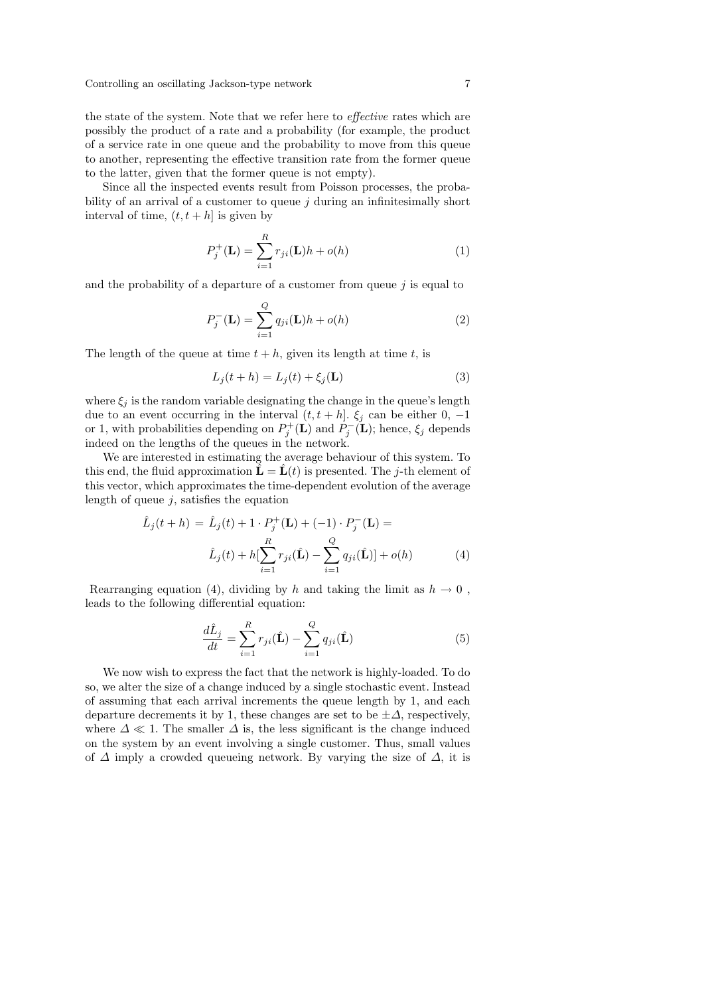Controlling an oscillating Jackson-type network 7

the state of the system. Note that we refer here to effective rates which are possibly the product of a rate and a probability (for example, the product of a service rate in one queue and the probability to move from this queue to another, representing the effective transition rate from the former queue to the latter, given that the former queue is not empty).

Since all the inspected events result from Poisson processes, the probability of an arrival of a customer to queue  $j$  during an infinitesimally short interval of time,  $(t, t + h)$  is given by

$$
P_j^+(\mathbf{L}) = \sum_{i=1}^R r_{ji}(\mathbf{L})h + o(h)
$$
 (1)

and the probability of a departure of a customer from queue  $j$  is equal to

$$
P_j^-(\mathbf{L}) = \sum_{i=1}^Q q_{ji}(\mathbf{L})h + o(h)
$$
 (2)

The length of the queue at time  $t + h$ , given its length at time t, is

$$
L_j(t+h) = L_j(t) + \xi_j(\mathbf{L})
$$
\n(3)

where  $\xi_i$  is the random variable designating the change in the queue's length due to an event occurring in the interval  $(t, t + h]$ .  $\xi_j$  can be either 0, -1 or 1, with probabilities depending on  $P_j^+(\mathbf{L})$  and  $P_j^-(\mathbf{L})$ ; hence,  $\xi_j$  depends indeed on the lengths of the queues in the network.

We are interested in estimating the average behaviour of this system. To this end, the fluid approximation  $\hat{\mathbf{L}} = \hat{\mathbf{L}}(t)$  is presented. The *j*-th element of this vector, which approximates the time-dependent evolution of the average length of queue  $j$ , satisfies the equation

$$
\hat{L}_j(t+h) = \hat{L}_j(t) + 1 \cdot P_j^+(\mathbf{L}) + (-1) \cdot P_j^-(\mathbf{L}) =
$$
\n
$$
\hat{L}_j(t) + h[\sum_{i=1}^R r_{ji}(\hat{\mathbf{L}}) - \sum_{i=1}^Q q_{ji}(\hat{\mathbf{L}})] + o(h) \tag{4}
$$

Rearranging equation (4), dividing by h and taking the limit as  $h \to 0$ , leads to the following differential equation:

$$
\frac{d\hat{L}_j}{dt} = \sum_{i=1}^{R} r_{ji}(\hat{\mathbf{L}}) - \sum_{i=1}^{Q} q_{ji}(\hat{\mathbf{L}})
$$
(5)

We now wish to express the fact that the network is highly-loaded. To do so, we alter the size of a change induced by a single stochastic event. Instead of assuming that each arrival increments the queue length by 1, and each departure decrements it by 1, these changes are set to be  $\pm \Delta$ , respectively, where  $\Delta \ll 1$ . The smaller  $\Delta$  is, the less significant is the change induced on the system by an event involving a single customer. Thus, small values of  $\Delta$  imply a crowded queueing network. By varying the size of  $\Delta$ , it is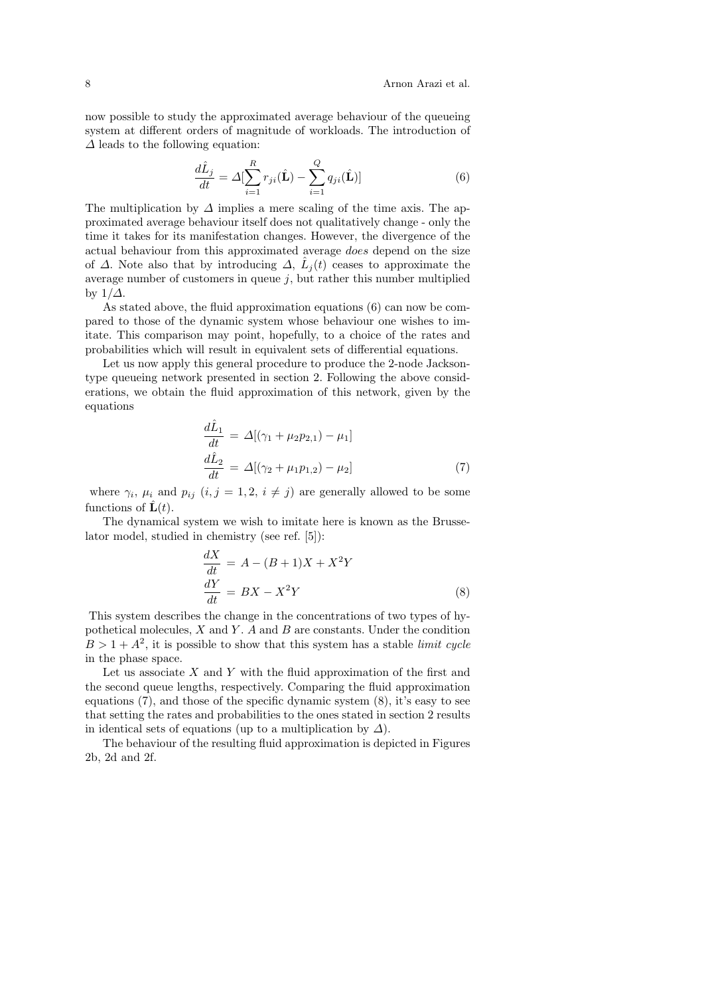now possible to study the approximated average behaviour of the queueing system at different orders of magnitude of workloads. The introduction of  $\Delta$  leads to the following equation:

$$
\frac{d\hat{L}_j}{dt} = \Delta[\sum_{i=1}^R r_{ji}(\hat{\mathbf{L}}) - \sum_{i=1}^Q q_{ji}(\hat{\mathbf{L}})]
$$
\n(6)

The multiplication by  $\Delta$  implies a mere scaling of the time axis. The approximated average behaviour itself does not qualitatively change - only the time it takes for its manifestation changes. However, the divergence of the actual behaviour from this approximated average does depend on the size of  $\Delta$ . Note also that by introducing  $\Delta$ ,  $\hat{L}_j(t)$  ceases to approximate the average number of customers in queue  $i$ , but rather this number multiplied by  $1/\Delta$ .

As stated above, the fluid approximation equations (6) can now be compared to those of the dynamic system whose behaviour one wishes to imitate. This comparison may point, hopefully, to a choice of the rates and probabilities which will result in equivalent sets of differential equations.

Let us now apply this general procedure to produce the 2-node Jacksontype queueing network presented in section 2. Following the above considerations, we obtain the fluid approximation of this network, given by the equations

$$
\frac{d\hat{L}_1}{dt} = \Delta[(\gamma_1 + \mu_2 p_{2,1}) - \mu_1] \n\frac{d\hat{L}_2}{dt} = \Delta[(\gamma_2 + \mu_1 p_{1,2}) - \mu_2]
$$
\n(7)

where  $\gamma_i$ ,  $\mu_i$  and  $p_{ij}$   $(i, j = 1, 2, i \neq j)$  are generally allowed to be some functions of  $\hat{\mathbf{L}}(t)$ .

The dynamical system we wish to imitate here is known as the Brusselator model, studied in chemistry (see ref. [5]):

$$
\frac{dX}{dt} = A - (B+1)X + X^2Y
$$
  
\n
$$
\frac{dY}{dt} = BX - X^2Y
$$
\n(8)

This system describes the change in the concentrations of two types of hypothetical molecules,  $X$  and  $Y$ .  $A$  and  $B$  are constants. Under the condition  $B > 1 + A^2$ , it is possible to show that this system has a stable limit cycle in the phase space.

Let us associate  $X$  and  $Y$  with the fluid approximation of the first and the second queue lengths, respectively. Comparing the fluid approximation equations (7), and those of the specific dynamic system (8), it's easy to see that setting the rates and probabilities to the ones stated in section 2 results in identical sets of equations (up to a multiplication by  $\Delta$ ).

The behaviour of the resulting fluid approximation is depicted in Figures 2b, 2d and 2f.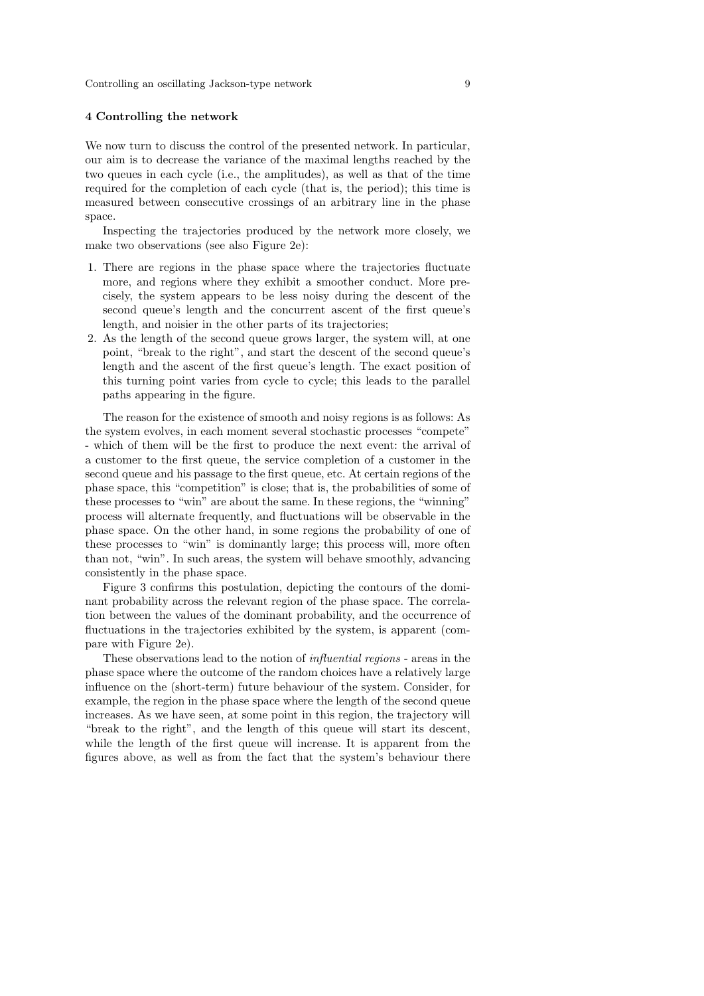Controlling an oscillating Jackson-type network 9

#### 4 Controlling the network

We now turn to discuss the control of the presented network. In particular, our aim is to decrease the variance of the maximal lengths reached by the two queues in each cycle (i.e., the amplitudes), as well as that of the time required for the completion of each cycle (that is, the period); this time is measured between consecutive crossings of an arbitrary line in the phase space.

Inspecting the trajectories produced by the network more closely, we make two observations (see also Figure 2e):

- 1. There are regions in the phase space where the trajectories fluctuate more, and regions where they exhibit a smoother conduct. More precisely, the system appears to be less noisy during the descent of the second queue's length and the concurrent ascent of the first queue's length, and noisier in the other parts of its trajectories;
- 2. As the length of the second queue grows larger, the system will, at one point, "break to the right", and start the descent of the second queue's length and the ascent of the first queue's length. The exact position of this turning point varies from cycle to cycle; this leads to the parallel paths appearing in the figure.

The reason for the existence of smooth and noisy regions is as follows: As the system evolves, in each moment several stochastic processes "compete" - which of them will be the first to produce the next event: the arrival of a customer to the first queue, the service completion of a customer in the second queue and his passage to the first queue, etc. At certain regions of the phase space, this "competition" is close; that is, the probabilities of some of these processes to "win" are about the same. In these regions, the "winning" process will alternate frequently, and fluctuations will be observable in the phase space. On the other hand, in some regions the probability of one of these processes to "win" is dominantly large; this process will, more often than not, "win". In such areas, the system will behave smoothly, advancing consistently in the phase space.

Figure 3 confirms this postulation, depicting the contours of the dominant probability across the relevant region of the phase space. The correlation between the values of the dominant probability, and the occurrence of fluctuations in the trajectories exhibited by the system, is apparent (compare with Figure 2e).

These observations lead to the notion of influential regions - areas in the phase space where the outcome of the random choices have a relatively large influence on the (short-term) future behaviour of the system. Consider, for example, the region in the phase space where the length of the second queue increases. As we have seen, at some point in this region, the trajectory will "break to the right", and the length of this queue will start its descent, while the length of the first queue will increase. It is apparent from the figures above, as well as from the fact that the system's behaviour there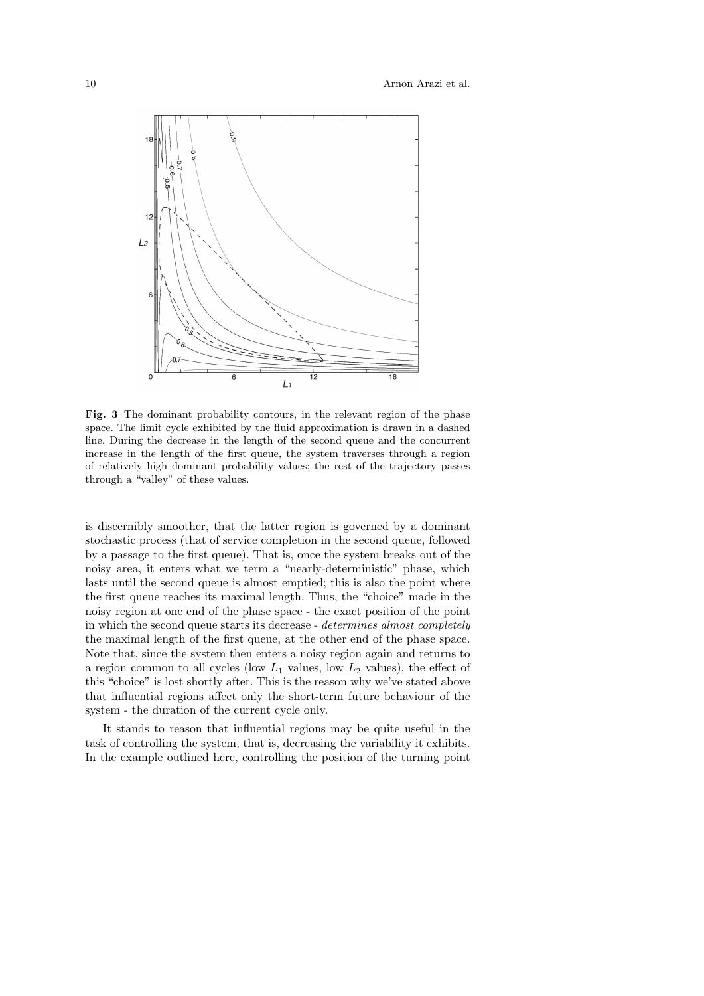

Fig. 3 The dominant probability contours, in the relevant region of the phase space. The limit cycle exhibited by the fluid approximation is drawn in a dashed line. During the decrease in the length of the second queue and the concurrent increase in the length of the first queue, the system traverses through a region of relatively high dominant probability values; the rest of the trajectory passes through a "valley" of these values.

is discernibly smoother, that the latter region is governed by a dominant stochastic process (that of service completion in the second queue, followed by a passage to the first queue). That is, once the system breaks out of the noisy area, it enters what we term a "nearly-deterministic" phase, which lasts until the second queue is almost emptied; this is also the point where the first queue reaches its maximal length. Thus, the "choice" made in the noisy region at one end of the phase space - the exact position of the point in which the second queue starts its decrease - determines almost completely the maximal length of the first queue, at the other end of the phase space. Note that, since the system then enters a noisy region again and returns to a region common to all cycles (low  $L_1$  values, low  $L_2$  values), the effect of this "choice" is lost shortly after. This is the reason why we've stated above that influential regions affect only the short-term future behaviour of the system - the duration of the current cycle only.

It stands to reason that influential regions may be quite useful in the task of controlling the system, that is, decreasing the variability it exhibits. In the example outlined here, controlling the position of the turning point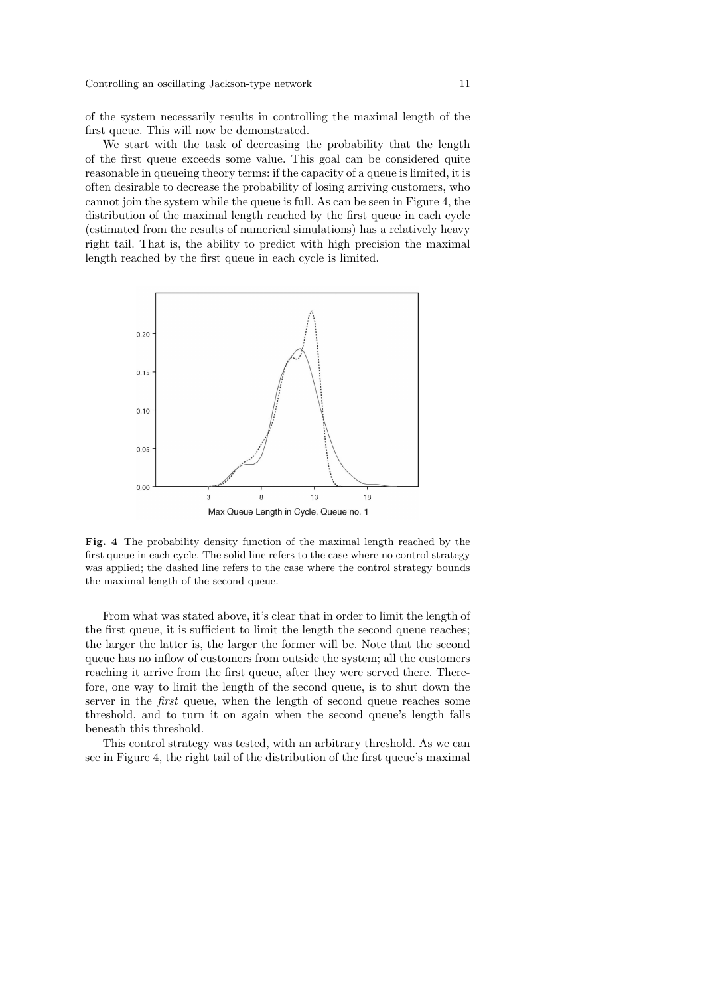of the system necessarily results in controlling the maximal length of the first queue. This will now be demonstrated.

We start with the task of decreasing the probability that the length of the first queue exceeds some value. This goal can be considered quite reasonable in queueing theory terms: if the capacity of a queue is limited, it is often desirable to decrease the probability of losing arriving customers, who cannot join the system while the queue is full. As can be seen in Figure 4, the distribution of the maximal length reached by the first queue in each cycle (estimated from the results of numerical simulations) has a relatively heavy right tail. That is, the ability to predict with high precision the maximal length reached by the first queue in each cycle is limited.



Fig. 4 The probability density function of the maximal length reached by the first queue in each cycle. The solid line refers to the case where no control strategy was applied; the dashed line refers to the case where the control strategy bounds the maximal length of the second queue.

From what was stated above, it's clear that in order to limit the length of the first queue, it is sufficient to limit the length the second queue reaches; the larger the latter is, the larger the former will be. Note that the second queue has no inflow of customers from outside the system; all the customers reaching it arrive from the first queue, after they were served there. Therefore, one way to limit the length of the second queue, is to shut down the server in the first queue, when the length of second queue reaches some threshold, and to turn it on again when the second queue's length falls beneath this threshold.

This control strategy was tested, with an arbitrary threshold. As we can see in Figure 4, the right tail of the distribution of the first queue's maximal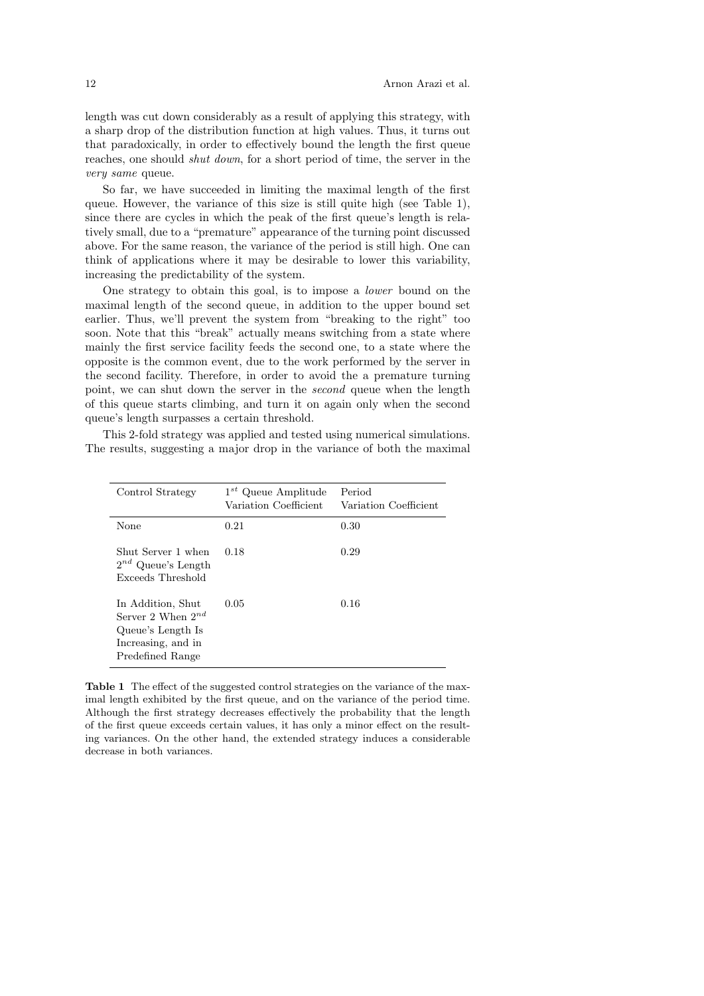length was cut down considerably as a result of applying this strategy, with a sharp drop of the distribution function at high values. Thus, it turns out that paradoxically, in order to effectively bound the length the first queue reaches, one should shut down, for a short period of time, the server in the very same queue.

So far, we have succeeded in limiting the maximal length of the first queue. However, the variance of this size is still quite high (see Table 1), since there are cycles in which the peak of the first queue's length is relatively small, due to a "premature" appearance of the turning point discussed above. For the same reason, the variance of the period is still high. One can think of applications where it may be desirable to lower this variability, increasing the predictability of the system.

One strategy to obtain this goal, is to impose a lower bound on the maximal length of the second queue, in addition to the upper bound set earlier. Thus, we'll prevent the system from "breaking to the right" too soon. Note that this "break" actually means switching from a state where mainly the first service facility feeds the second one, to a state where the opposite is the common event, due to the work performed by the server in the second facility. Therefore, in order to avoid the a premature turning point, we can shut down the server in the second queue when the length of this queue starts climbing, and turn it on again only when the second queue's length surpasses a certain threshold.

This 2-fold strategy was applied and tested using numerical simulations. The results, suggesting a major drop in the variance of both the maximal

| Control Strategy                                                                                           | $1^{st}$ Queue Amplitude<br>Variation Coefficient | Period<br>Variation Coefficient |
|------------------------------------------------------------------------------------------------------------|---------------------------------------------------|---------------------------------|
| None                                                                                                       | 0.21                                              | 0.30                            |
| Shut Server 1 when<br>$2^{nd}$ Queue's Length<br>Exceeds Threshold                                         | 0.18                                              | 0.29                            |
| In Addition, Shut<br>Server 2 When $2^{nd}$<br>Queue's Length Is<br>Increasing, and in<br>Predefined Range | 0.05                                              | 0.16                            |

Table 1 The effect of the suggested control strategies on the variance of the maximal length exhibited by the first queue, and on the variance of the period time. Although the first strategy decreases effectively the probability that the length of the first queue exceeds certain values, it has only a minor effect on the resulting variances. On the other hand, the extended strategy induces a considerable decrease in both variances.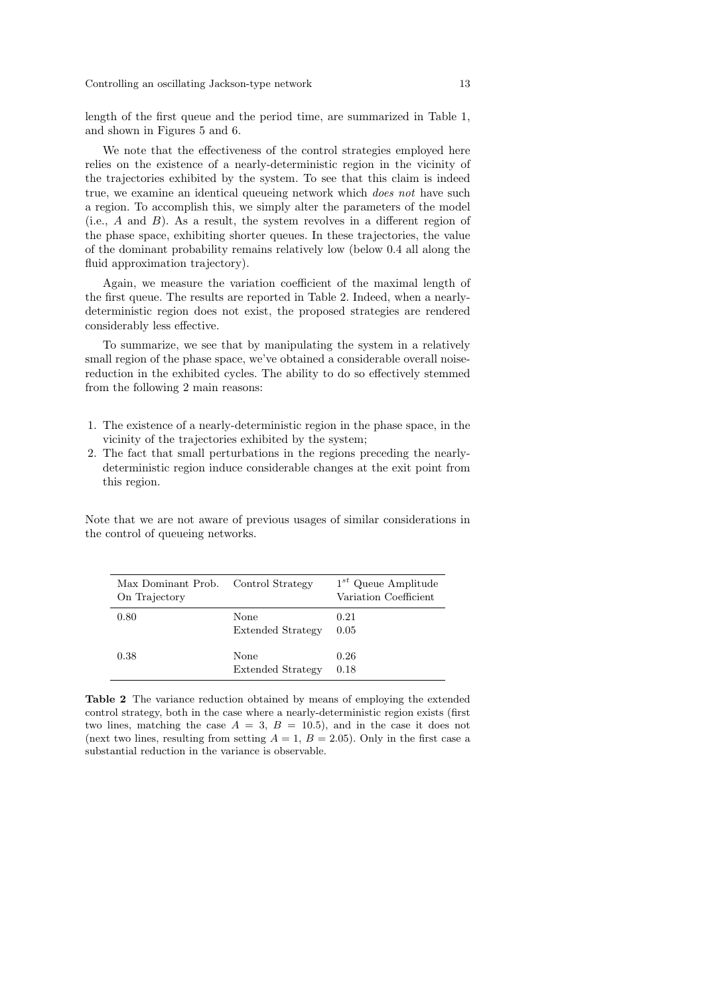length of the first queue and the period time, are summarized in Table 1, and shown in Figures 5 and 6.

We note that the effectiveness of the control strategies employed here relies on the existence of a nearly-deterministic region in the vicinity of the trajectories exhibited by the system. To see that this claim is indeed true, we examine an identical queueing network which does not have such a region. To accomplish this, we simply alter the parameters of the model (i.e., A and B). As a result, the system revolves in a different region of the phase space, exhibiting shorter queues. In these trajectories, the value of the dominant probability remains relatively low (below 0.4 all along the fluid approximation trajectory).

Again, we measure the variation coefficient of the maximal length of the first queue. The results are reported in Table 2. Indeed, when a nearlydeterministic region does not exist, the proposed strategies are rendered considerably less effective.

To summarize, we see that by manipulating the system in a relatively small region of the phase space, we've obtained a considerable overall noisereduction in the exhibited cycles. The ability to do so effectively stemmed from the following 2 main reasons:

- 1. The existence of a nearly-deterministic region in the phase space, in the vicinity of the trajectories exhibited by the system;
- 2. The fact that small perturbations in the regions preceding the nearlydeterministic region induce considerable changes at the exit point from this region.

Note that we are not aware of previous usages of similar considerations in the control of queueing networks.

| Max Dominant Prob. Control Strategy<br>On Trajectory |                           | $1^{st}$ Queue Amplitude<br>Variation Coefficient |
|------------------------------------------------------|---------------------------|---------------------------------------------------|
| 0.80                                                 | None<br>Extended Strategy | 0.21<br>0.05                                      |
| 0.38                                                 | None<br>Extended Strategy | 0.26<br>0.18                                      |

Table 2 The variance reduction obtained by means of employing the extended control strategy, both in the case where a nearly-deterministic region exists (first two lines, matching the case  $A = 3$ ,  $B = 10.5$ , and in the case it does not (next two lines, resulting from setting  $A = 1, B = 2.05$ ). Only in the first case a substantial reduction in the variance is observable.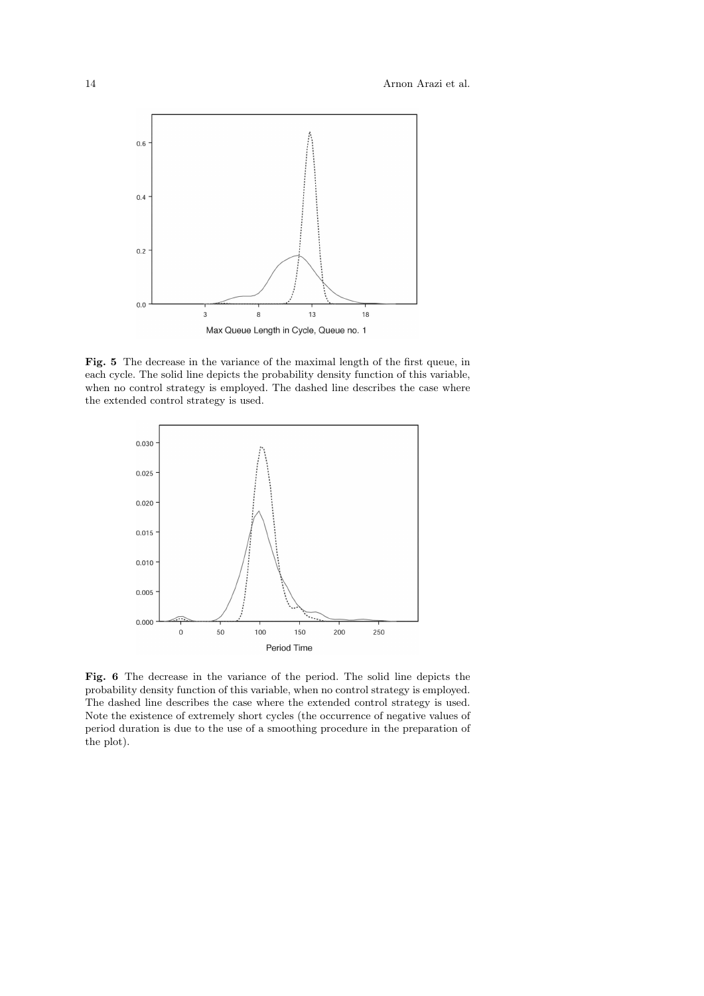14 Arnon Arazi et al.



Fig. 5 The decrease in the variance of the maximal length of the first queue, in each cycle. The solid line depicts the probability density function of this variable, when no control strategy is employed. The dashed line describes the case where the extended control strategy is used.



Fig. 6 The decrease in the variance of the period. The solid line depicts the probability density function of this variable, when no control strategy is employed. The dashed line describes the case where the extended control strategy is used. Note the existence of extremely short cycles (the occurrence of negative values of period duration is due to the use of a smoothing procedure in the preparation of the plot).